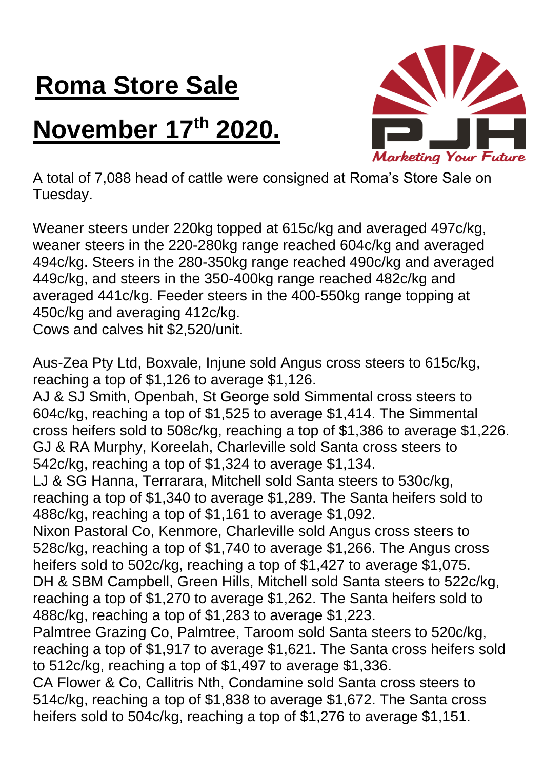## **Roma Store Sale**

## **November 17 th 2020.**



A total of 7,088 head of cattle were consigned at Roma's Store Sale on Tuesday.

Weaner steers under 220kg topped at 615c/kg and averaged 497c/kg, weaner steers in the 220-280kg range reached 604c/kg and averaged 494c/kg. Steers in the 280-350kg range reached 490c/kg and averaged 449c/kg, and steers in the 350-400kg range reached 482c/kg and averaged 441c/kg. Feeder steers in the 400-550kg range topping at 450c/kg and averaging 412c/kg.

Cows and calves hit \$2,520/unit.

Aus-Zea Pty Ltd, Boxvale, Injune sold Angus cross steers to 615c/kg, reaching a top of \$1,126 to average \$1,126.

AJ & SJ Smith, Openbah, St George sold Simmental cross steers to 604c/kg, reaching a top of \$1,525 to average \$1,414. The Simmental cross heifers sold to 508c/kg, reaching a top of \$1,386 to average \$1,226. GJ & RA Murphy, Koreelah, Charleville sold Santa cross steers to 542c/kg, reaching a top of \$1,324 to average \$1,134.

LJ & SG Hanna, Terrarara, Mitchell sold Santa steers to 530c/kg, reaching a top of \$1,340 to average \$1,289. The Santa heifers sold to 488c/kg, reaching a top of \$1,161 to average \$1,092.

Nixon Pastoral Co, Kenmore, Charleville sold Angus cross steers to 528c/kg, reaching a top of \$1,740 to average \$1,266. The Angus cross heifers sold to 502c/kg, reaching a top of \$1,427 to average \$1,075. DH & SBM Campbell, Green Hills, Mitchell sold Santa steers to 522c/kg, reaching a top of \$1,270 to average \$1,262. The Santa heifers sold to 488c/kg, reaching a top of \$1,283 to average \$1,223.

Palmtree Grazing Co, Palmtree, Taroom sold Santa steers to 520c/kg, reaching a top of \$1,917 to average \$1,621. The Santa cross heifers sold to 512c/kg, reaching a top of \$1,497 to average \$1,336.

CA Flower & Co, Callitris Nth, Condamine sold Santa cross steers to 514c/kg, reaching a top of \$1,838 to average \$1,672. The Santa cross heifers sold to 504c/kg, reaching a top of \$1,276 to average \$1,151.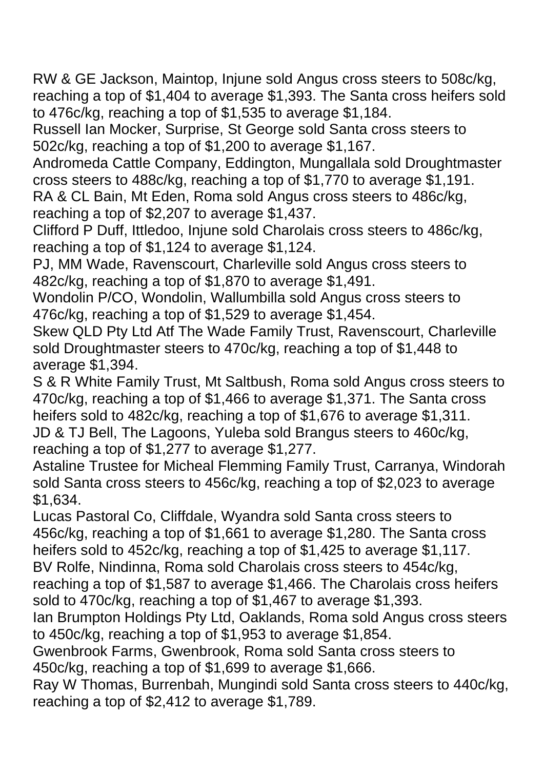RW & GE Jackson, Maintop, Injune sold Angus cross steers to 508c/kg, reaching a top of \$1,404 to average \$1,393. The Santa cross heifers sold to 476c/kg, reaching a top of \$1,535 to average \$1,184.

Russell Ian Mocker, Surprise, St George sold Santa cross steers to 502c/kg, reaching a top of \$1,200 to average \$1,167.

Andromeda Cattle Company, Eddington, Mungallala sold Droughtmaster cross steers to 488c/kg, reaching a top of \$1,770 to average \$1,191.

RA & CL Bain, Mt Eden, Roma sold Angus cross steers to 486c/kg, reaching a top of \$2,207 to average \$1,437.

Clifford P Duff, Ittledoo, Injune sold Charolais cross steers to 486c/kg, reaching a top of \$1,124 to average \$1,124.

PJ, MM Wade, Ravenscourt, Charleville sold Angus cross steers to 482c/kg, reaching a top of \$1,870 to average \$1,491.

Wondolin P/CO, Wondolin, Wallumbilla sold Angus cross steers to 476c/kg, reaching a top of \$1,529 to average \$1,454.

Skew QLD Pty Ltd Atf The Wade Family Trust, Ravenscourt, Charleville sold Droughtmaster steers to 470c/kg, reaching a top of \$1,448 to average \$1,394.

S & R White Family Trust, Mt Saltbush, Roma sold Angus cross steers to 470c/kg, reaching a top of \$1,466 to average \$1,371. The Santa cross heifers sold to 482c/kg, reaching a top of \$1,676 to average \$1,311. JD & TJ Bell, The Lagoons, Yuleba sold Brangus steers to 460c/kg, reaching a top of \$1,277 to average \$1,277.

Astaline Trustee for Micheal Flemming Family Trust, Carranya, Windorah sold Santa cross steers to 456c/kg, reaching a top of \$2,023 to average \$1,634.

Lucas Pastoral Co, Cliffdale, Wyandra sold Santa cross steers to 456c/kg, reaching a top of \$1,661 to average \$1,280. The Santa cross heifers sold to 452c/kg, reaching a top of \$1,425 to average \$1,117.

BV Rolfe, Nindinna, Roma sold Charolais cross steers to 454c/kg,

reaching a top of \$1,587 to average \$1,466. The Charolais cross heifers sold to 470c/kg, reaching a top of \$1,467 to average \$1,393.

Ian Brumpton Holdings Pty Ltd, Oaklands, Roma sold Angus cross steers to 450c/kg, reaching a top of \$1,953 to average \$1,854.

Gwenbrook Farms, Gwenbrook, Roma sold Santa cross steers to 450c/kg, reaching a top of \$1,699 to average \$1,666.

Ray W Thomas, Burrenbah, Mungindi sold Santa cross steers to 440c/kg, reaching a top of \$2,412 to average \$1,789.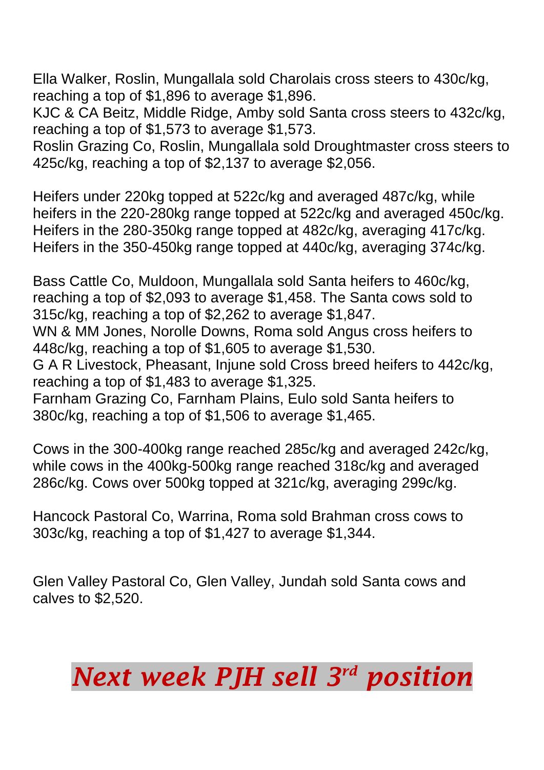Ella Walker, Roslin, Mungallala sold Charolais cross steers to 430c/kg, reaching a top of \$1,896 to average \$1,896.

KJC & CA Beitz, Middle Ridge, Amby sold Santa cross steers to 432c/kg, reaching a top of \$1,573 to average \$1,573.

Roslin Grazing Co, Roslin, Mungallala sold Droughtmaster cross steers to 425c/kg, reaching a top of \$2,137 to average \$2,056.

Heifers under 220kg topped at 522c/kg and averaged 487c/kg, while heifers in the 220-280kg range topped at 522c/kg and averaged 450c/kg. Heifers in the 280-350kg range topped at 482c/kg, averaging 417c/kg. Heifers in the 350-450kg range topped at 440c/kg, averaging 374c/kg.

Bass Cattle Co, Muldoon, Mungallala sold Santa heifers to 460c/kg, reaching a top of \$2,093 to average \$1,458. The Santa cows sold to 315c/kg, reaching a top of \$2,262 to average \$1,847. WN & MM Jones, Norolle Downs, Roma sold Angus cross heifers to 448c/kg, reaching a top of \$1,605 to average \$1,530. G A R Livestock, Pheasant, Injune sold Cross breed heifers to 442c/kg, reaching a top of \$1,483 to average \$1,325. Farnham Grazing Co, Farnham Plains, Eulo sold Santa heifers to 380c/kg, reaching a top of \$1,506 to average \$1,465.

Cows in the 300-400kg range reached 285c/kg and averaged 242c/kg, while cows in the 400kg-500kg range reached 318c/kg and averaged 286c/kg. Cows over 500kg topped at 321c/kg, averaging 299c/kg.

Hancock Pastoral Co, Warrina, Roma sold Brahman cross cows to 303c/kg, reaching a top of \$1,427 to average \$1,344.

Glen Valley Pastoral Co, Glen Valley, Jundah sold Santa cows and calves to \$2,520.

## *Next week PJH sell 3 rd position*